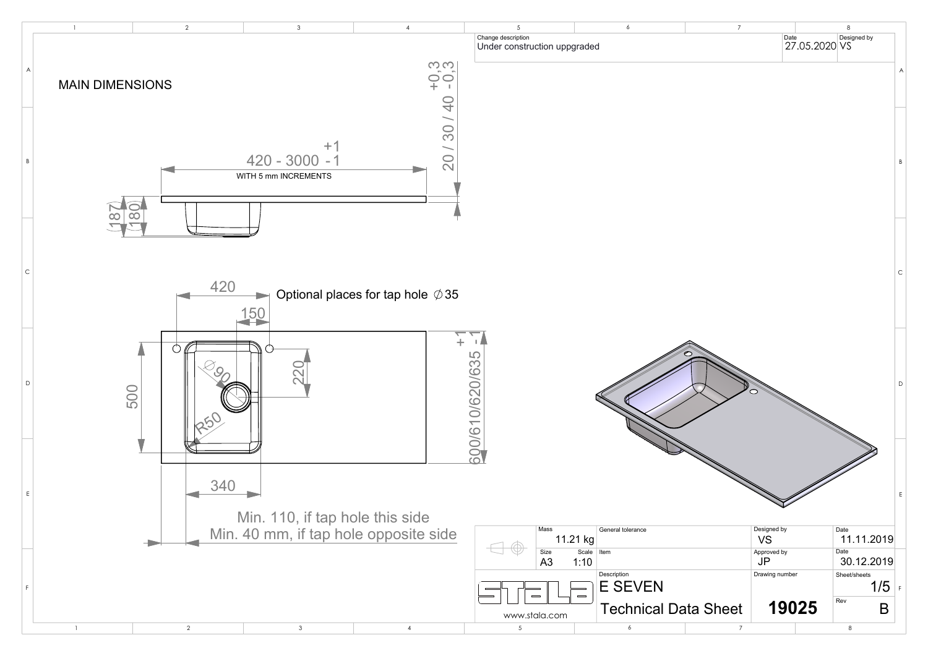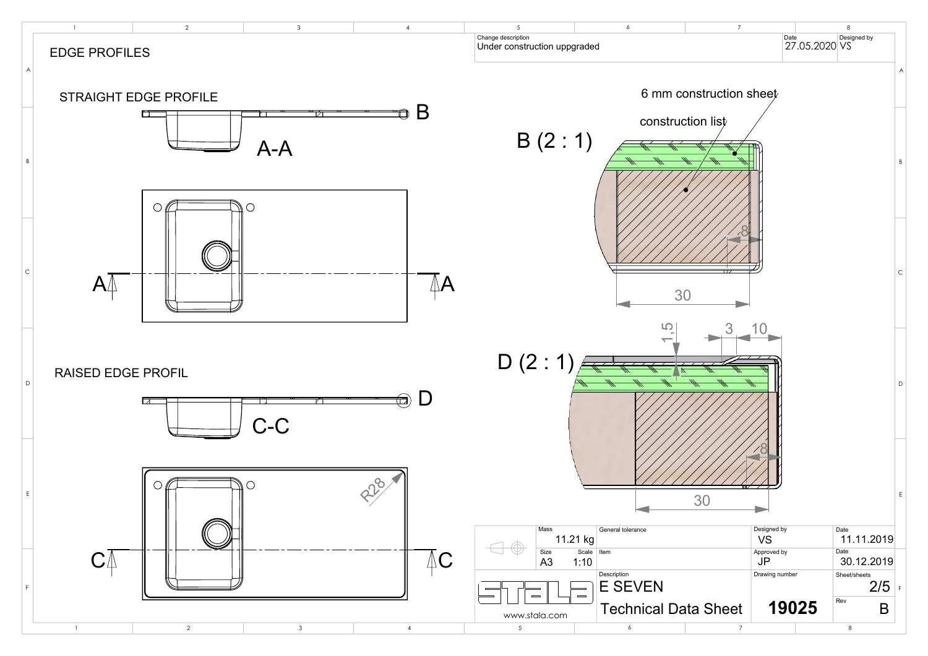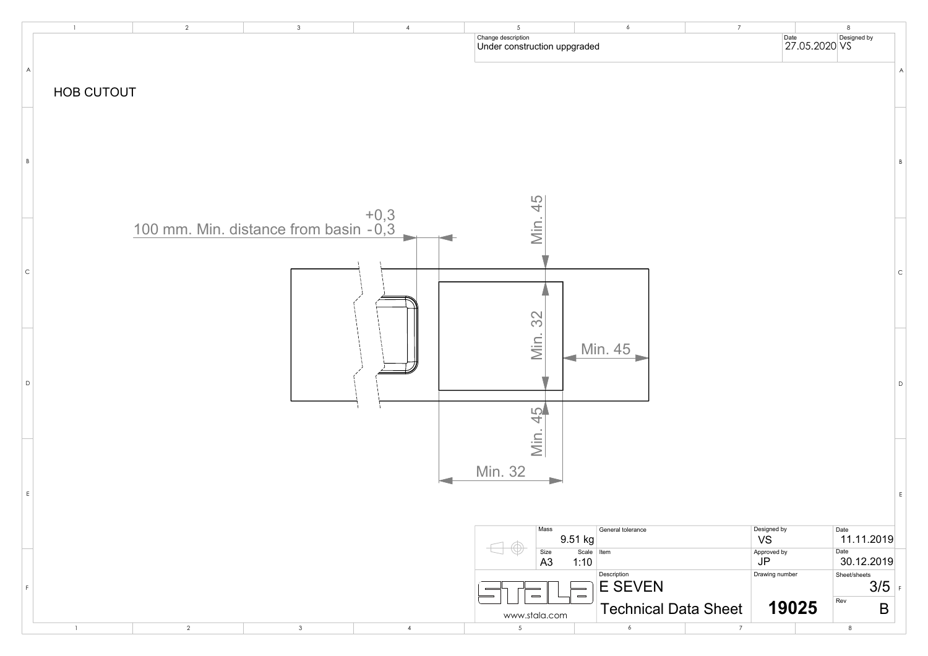

| $\boldsymbol{7}$ |                                            | $\,8\,$                            |              |
|------------------|--------------------------------------------|------------------------------------|--------------|
|                  | Date                                       | Date<br>27.05.2020 VS              | A            |
|                  |                                            |                                    | B            |
|                  |                                            |                                    | $\mathsf{C}$ |
|                  |                                            |                                    | D            |
|                  |                                            |                                    | E            |
|                  | Designed by<br><b>VS</b>                   | Date<br>11.11.2019                 |              |
|                  | Approved by<br><b>JP</b><br>Drawing number | Date<br>30.12.2019<br>Sheet/sheets |              |
|                  |                                            | 3/5<br>Rev                         | $\mathsf F$  |
| <b>Sheet</b>     | 19025                                      | Β                                  |              |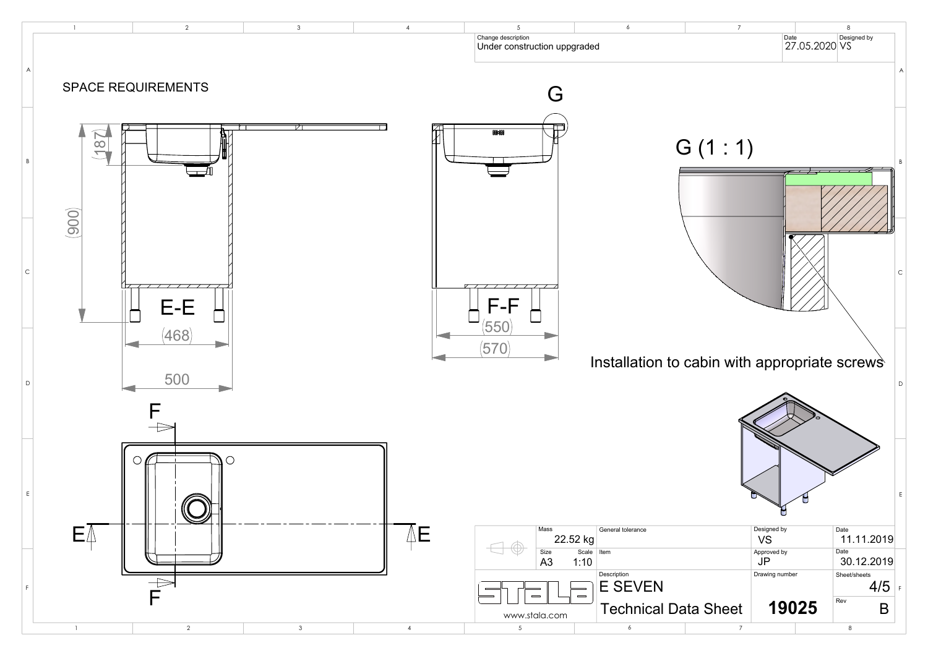